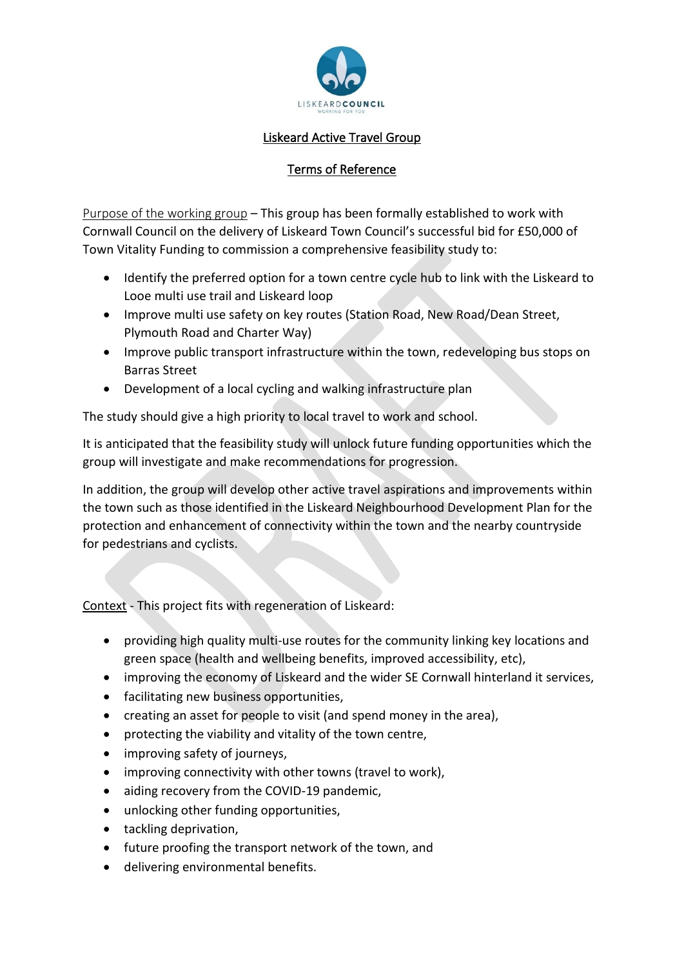

## Liskeard Active Travel Group

## Terms of Reference

Purpose of the working group – This group has been formally established to work with Cornwall Council on the delivery of Liskeard Town Council's successful bid for £50,000 of Town Vitality Funding to commission a comprehensive feasibility study to:

- Identify the preferred option for a town centre cycle hub to link with the Liskeard to Looe multi use trail and Liskeard loop
- Improve multi use safety on key routes (Station Road, New Road/Dean Street, Plymouth Road and Charter Way)
- Improve public transport infrastructure within the town, redeveloping bus stops on Barras Street
- Development of a local cycling and walking infrastructure plan

The study should give a high priority to local travel to work and school.

It is anticipated that the feasibility study will unlock future funding opportunities which the group will investigate and make recommendations for progression.

In addition, the group will develop other active travel aspirations and improvements within the town such as those identified in the Liskeard Neighbourhood Development Plan for the protection and enhancement of connectivity within the town and the nearby countryside for pedestrians and cyclists.

Context - This project fits with regeneration of Liskeard:

- providing high quality multi-use routes for the community linking key locations and green space (health and wellbeing benefits, improved accessibility, etc),
- improving the economy of Liskeard and the wider SE Cornwall hinterland it services,
- facilitating new business opportunities,
- creating an asset for people to visit (and spend money in the area),
- protecting the viability and vitality of the town centre,
- improving safety of journeys,
- improving connectivity with other towns (travel to work),
- aiding recovery from the COVID-19 pandemic,
- unlocking other funding opportunities,
- tackling deprivation,
- future proofing the transport network of the town, and
- delivering environmental benefits.